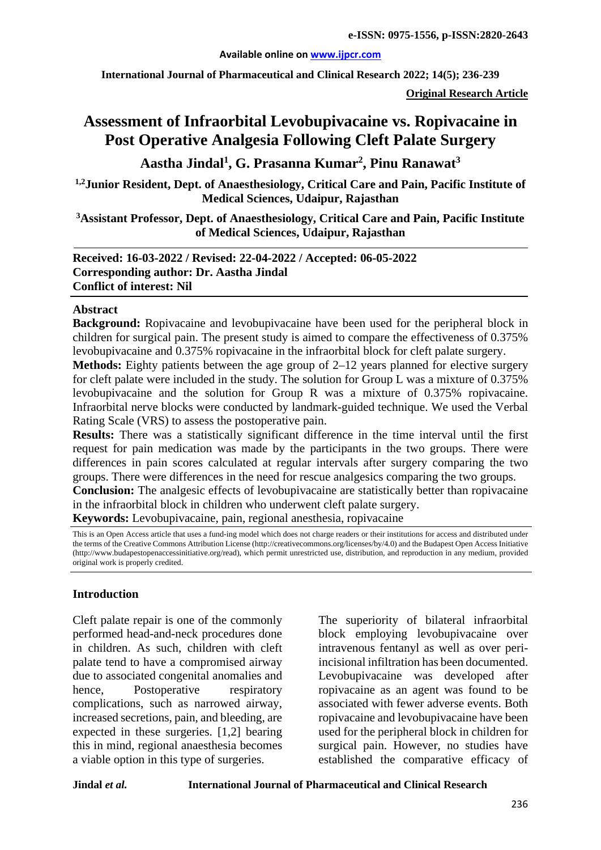#### **Available online on [www.ijpcr.com](http://www.ijpcr.com/)**

**International Journal of Pharmaceutical and Clinical Research 2022; 14(5); 236-239**

**Original Research Article**

# **Assessment of Infraorbital Levobupivacaine vs. Ropivacaine in Post Operative Analgesia Following Cleft Palate Surgery**

**Aastha Jindal1 , G. Prasanna Kumar2 , Pinu Ranawat<sup>3</sup>**

**1,2Junior Resident, Dept. of Anaesthesiology, Critical Care and Pain, Pacific Institute of Medical Sciences, Udaipur, Rajasthan**

**3Assistant Professor, Dept. of Anaesthesiology, Critical Care and Pain, Pacific Institute of Medical Sciences, Udaipur, Rajasthan**

## **Received: 16-03-2022 / Revised: 22-04-2022 / Accepted: 06-05-2022 Corresponding author: Dr. Aastha Jindal Conflict of interest: Nil**

#### **Abstract**

**Background:** Ropivacaine and levobupivacaine have been used for the peripheral block in children for surgical pain. The present study is aimed to compare the effectiveness of 0.375% levobupivacaine and 0.375% ropivacaine in the infraorbital block for cleft palate surgery.

**Methods:** Eighty patients between the age group of 2–12 years planned for elective surgery for cleft palate were included in the study. The solution for Group L was a mixture of 0.375% levobupivacaine and the solution for Group R was a mixture of 0.375% ropivacaine. Infraorbital nerve blocks were conducted by landmark-guided technique. We used the Verbal Rating Scale (VRS) to assess the postoperative pain.

**Results:** There was a statistically significant difference in the time interval until the first request for pain medication was made by the participants in the two groups. There were differences in pain scores calculated at regular intervals after surgery comparing the two groups. There were differences in the need for rescue analgesics comparing the two groups.

**Conclusion:** The analgesic effects of levobupivacaine are statistically better than ropivacaine in the infraorbital block in children who underwent cleft palate surgery.

**Keywords:** Levobupivacaine, pain, regional anesthesia, ropivacaine

This is an Open Access article that uses a fund-ing model which does not charge readers or their institutions for access and distributed under the terms of the Creative Commons Attribution License (http://creativecommons.org/licenses/by/4.0) and the Budapest Open Access Initiative (http://www.budapestopenaccessinitiative.org/read), which permit unrestricted use, distribution, and reproduction in any medium, provided original work is properly credited.

### **Introduction**

Cleft palate repair is one of the commonly performed head-and-neck procedures done in children. As such, children with cleft palate tend to have a compromised airway due to associated congenital anomalies and hence, Postoperative respiratory complications, such as narrowed airway, increased secretions, pain, and bleeding, are expected in these surgeries. [1,2] bearing this in mind, regional anaesthesia becomes a viable option in this type of surgeries.

The superiority of bilateral infraorbital block employing levobupivacaine over intravenous fentanyl as well as over periincisional infiltration has been documented. Levobupivacaine was developed after ropivacaine as an agent was found to be associated with fewer adverse events. Both ropivacaine and levobupivacaine have been used for the peripheral block in children for surgical pain. However, no studies have established the comparative efficacy of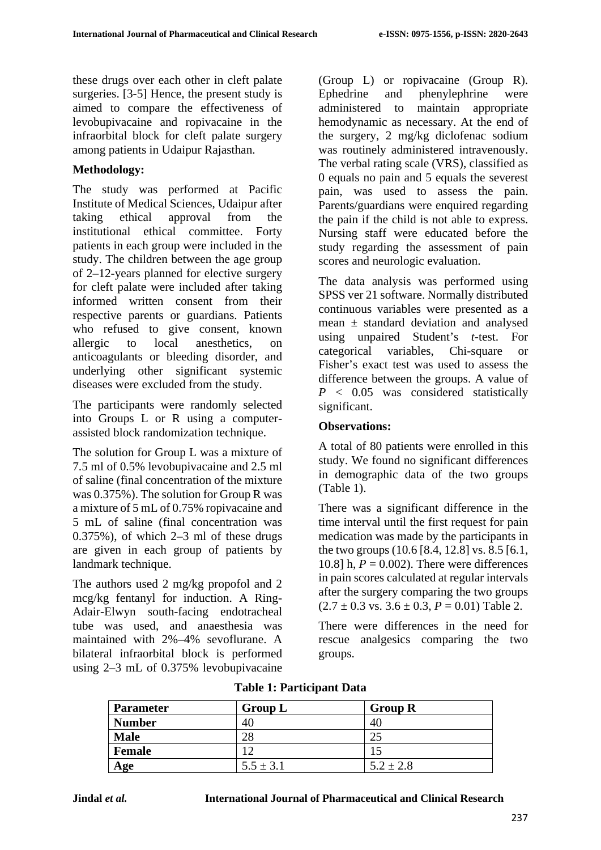these drugs over each other in cleft palate surgeries. [3-5] Hence, the present study is aimed to compare the effectiveness of levobupivacaine and ropivacaine in the infraorbital block for cleft palate surgery among patients in Udaipur Rajasthan.

# **Methodology:**

The study was performed at Pacific Institute of Medical Sciences, Udaipur after taking ethical approval from the institutional ethical committee. Forty patients in each group were included in the study. The children between the age group of 2–12-years planned for elective surgery for cleft palate were included after taking informed written consent from their respective parents or guardians. Patients who refused to give consent, known allergic to local anesthetics, on anticoagulants or bleeding disorder, and underlying other significant systemic diseases were excluded from the study.

The participants were randomly selected into Groups L or R using a computerassisted block randomization technique.

The solution for Group L was a mixture of 7.5 ml of 0.5% levobupivacaine and 2.5 ml of saline (final concentration of the mixture was 0.375%). The solution for Group R was a mixture of 5 mL of 0.75% ropivacaine and 5 mL of saline (final concentration was 0.375%), of which 2–3 ml of these drugs are given in each group of patients by landmark technique.

The authors used 2 mg/kg propofol and 2 mcg/kg fentanyl for induction. A Ring-Adair-Elwyn south-facing endotracheal tube was used, and anaesthesia was maintained with 2%–4% sevoflurane. A bilateral infraorbital block is performed using 2–3 mL of 0.375% levobupivacaine

(Group L) or ropivacaine (Group R). Ephedrine and phenylephrine were administered to maintain appropriate hemodynamic as necessary. At the end of the surgery, 2 mg/kg diclofenac sodium was routinely administered intravenously. The verbal rating scale (VRS), classified as 0 equals no pain and 5 equals the severest pain, was used to assess the pain. Parents/guardians were enquired regarding the pain if the child is not able to express. Nursing staff were educated before the study regarding the assessment of pain scores and neurologic evaluation.

The data analysis was performed using SPSS ver 21 software. Normally distributed continuous variables were presented as a mean ± standard deviation and analysed using unpaired Student's *t*-test. For categorical variables, Chi-square or Fisher's exact test was used to assess the difference between the groups. A value of *P* < 0.05 was considered statistically significant.

## **Observations:**

A total of 80 patients were enrolled in this study. We found no significant differences in demographic data of the two groups (Table 1).

There was a significant difference in the time interval until the first request for pain medication was made by the participants in the two groups (10.6 [8.4, 12.8] vs. 8.5 [6.1, 10.8] h,  $P = 0.002$ ). There were differences in pain scores calculated at regular intervals after the surgery comparing the two groups  $(2.7 \pm 0.3 \text{ vs. } 3.6 \pm 0.3, P = 0.01)$  Table 2.

There were differences in the need for rescue analgesics comparing the two groups.

| <b>Parameter</b> | <b>Group L</b> | <b>Group R</b> |  |
|------------------|----------------|----------------|--|
| <b>Number</b>    | 40             | 40             |  |
| <b>Male</b>      | 28             |                |  |
| Female           |                |                |  |
| Age              | $5.5 \pm 3.1$  | $5.2 \pm 2.8$  |  |

### **Table 1: Participant Data**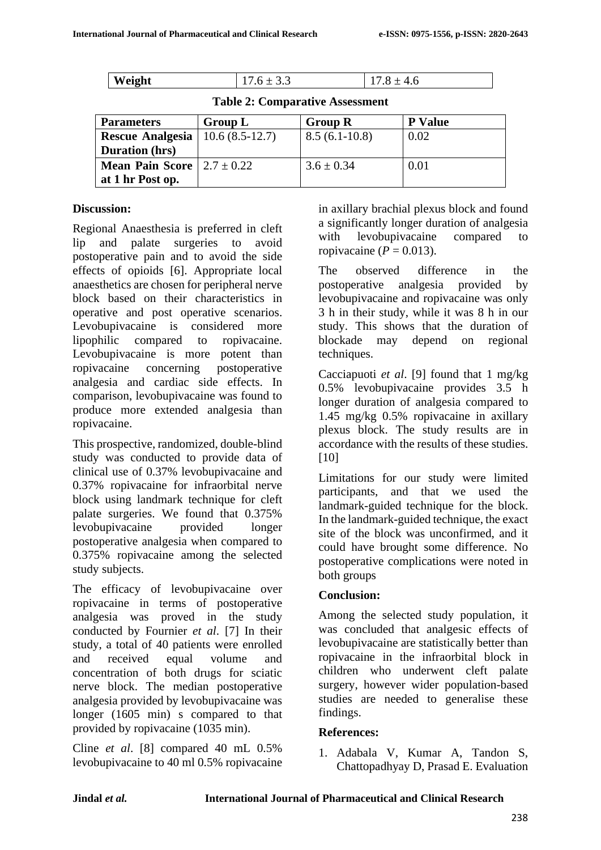| Weight | ن.ر<br>. . |  |
|--------|------------|--|

**Table 2: Comparative Assessment**

| <b>Parameters</b>                       | Group L          | <b>Group R</b>  | <b>P</b> Value |
|-----------------------------------------|------------------|-----------------|----------------|
| <b>Rescue Analgesia</b>                 | $10.6(8.5-12.7)$ | $8.5(6.1-10.8)$ | 0.02           |
| <b>Duration</b> (hrs)                   |                  |                 |                |
| <b>Mean Pain Score</b> $  2.7 \pm 0.22$ |                  | $3.6 \pm 0.34$  | 0.01           |
| at 1 hr Post op.                        |                  |                 |                |

### **Discussion:**

Regional Anaesthesia is preferred in cleft lip and palate surgeries to avoid postoperative pain and to avoid the side effects of opioids [6]. Appropriate local anaesthetics are chosen for peripheral nerve block based on their characteristics in operative and post operative scenarios. Levobupivacaine is considered more lipophilic compared to ropivacaine. Levobupivacaine is more potent than ropivacaine concerning postoperative analgesia and cardiac side effects. In comparison, levobupivacaine was found to produce more extended analgesia than ropivacaine.

This prospective, randomized, double-blind study was conducted to provide data of clinical use of 0.37% levobupivacaine and 0.37% ropivacaine for infraorbital nerve block using landmark technique for cleft palate surgeries. We found that 0.375% levobupivacaine provided longer postoperative analgesia when compared to 0.375% ropivacaine among the selected study subjects.

The efficacy of levobupivacaine over ropivacaine in terms of postoperative analgesia was proved in the study conducted by Fournier *et al*. [7] In their study, a total of 40 patients were enrolled and received equal volume and concentration of both drugs for sciatic nerve block. The median postoperative analgesia provided by levobupivacaine was longer (1605 min) s compared to that provided by ropivacaine (1035 min).

Cline *et al*. [8] compared 40 mL 0.5% levobupivacaine to 40 ml 0.5% ropivacaine in axillary brachial plexus block and found a significantly longer duration of analgesia with levobupivacaine compared to ropivacaine ( $P = 0.013$ ).

The observed difference in the postoperative analgesia provided by levobupivacaine and ropivacaine was only 3 h in their study, while it was 8 h in our study. This shows that the duration of blockade may depend on regional techniques.

Cacciapuoti *et al*. [9] found that 1 mg/kg 0.5% levobupivacaine provides 3.5 h longer duration of analgesia compared to 1.45 mg/kg 0.5% ropivacaine in axillary plexus block. The study results are in accordance with the results of these studies. [10]

Limitations for our study were limited participants, and that we used the landmark-guided technique for the block. In the landmark-guided technique, the exact site of the block was unconfirmed, and it could have brought some difference. No postoperative complications were noted in both groups

## **Conclusion:**

Among the selected study population, it was concluded that analgesic effects of levobupivacaine are statistically better than ropivacaine in the infraorbital block in children who underwent cleft palate surgery, however wider population-based studies are needed to generalise these findings.

## **References:**

1. Adabala V, Kumar A, Tandon S, Chattopadhyay D, Prasad E. Evaluation